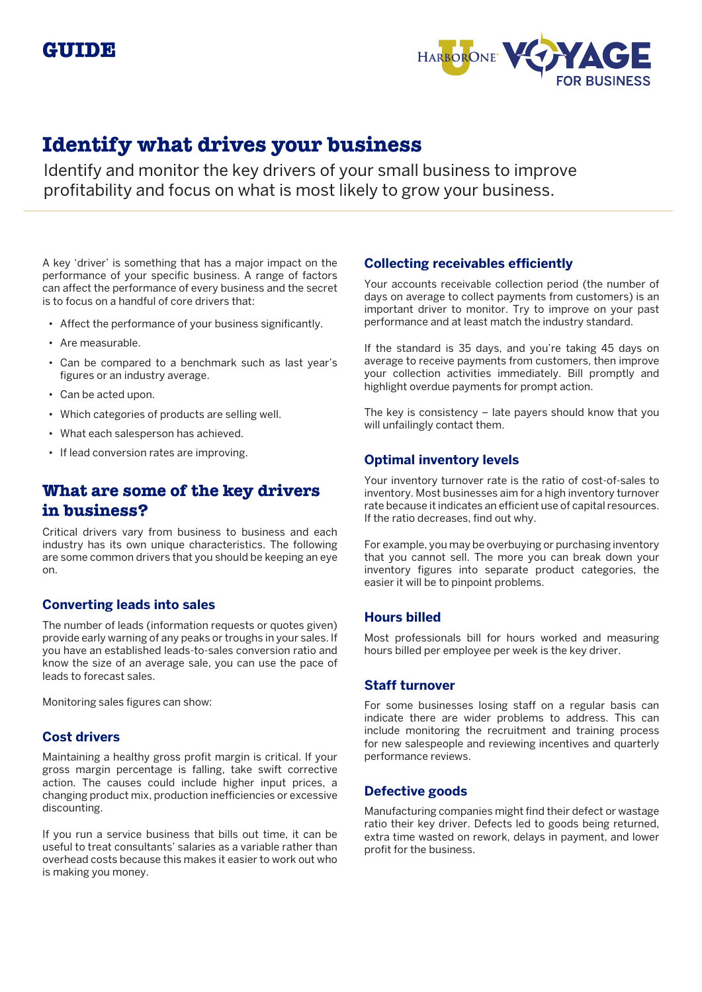

# **Identify what drives your business**

Identify and monitor the key drivers of your small business to improve profitability and focus on what is most likely to grow your business.

A key 'driver' is something that has a major impact on the performance of your specific business. A range of factors can affect the performance of every business and the secret is to focus on a handful of core drivers that:

- Affect the performance of your business significantly.
- Are measurable.
- Can be compared to a benchmark such as last year's figures or an industry average.
- Can be acted upon.
- Which categories of products are selling well.
- What each salesperson has achieved.
- If lead conversion rates are improving.

# **What are some of the key drivers in business?**

Critical drivers vary from business to business and each industry has its own unique characteristics. The following are some common drivers that you should be keeping an eye on.

### **Converting leads into sales**

The number of leads (information requests or quotes given) provide early warning of any peaks or troughs in your sales. If you have an established leads-to-sales conversion ratio and know the size of an average sale, you can use the pace of leads to forecast sales.

Monitoring sales figures can show:

### **Cost drivers**

Maintaining a healthy gross profit margin is critical. If your gross margin percentage is falling, take swift corrective action. The causes could include higher input prices, a changing product mix, production inefficiencies or excessive discounting.

If you run a service business that bills out time, it can be useful to treat consultants' salaries as a variable rather than overhead costs because this makes it easier to work out who is making you money.

### **Collecting receivables efficiently**

Your accounts receivable collection period (the number of days on average to collect payments from customers) is an important driver to monitor. Try to improve on your past performance and at least match the industry standard.

If the standard is 35 days, and you're taking 45 days on average to receive payments from customers, then improve your collection activities immediately. Bill promptly and highlight overdue payments for prompt action.

The key is consistency – late payers should know that you will unfailingly contact them.

## **Optimal inventory levels**

Your inventory turnover rate is the ratio of cost-of-sales to inventory. Most businesses aim for a high inventory turnover rate because it indicates an efficient use of capital resources. If the ratio decreases, find out why.

For example, you may be overbuying or purchasing inventory that you cannot sell. The more you can break down your inventory figures into separate product categories, the easier it will be to pinpoint problems.

## **Hours billed**

Most professionals bill for hours worked and measuring hours billed per employee per week is the key driver.

### **Staff turnover**

For some businesses losing staff on a regular basis can indicate there are wider problems to address. This can include monitoring the recruitment and training process for new salespeople and reviewing incentives and quarterly performance reviews.

### **Defective goods**

Manufacturing companies might find their defect or wastage ratio their key driver. Defects led to goods being returned, extra time wasted on rework, delays in payment, and lower profit for the business.